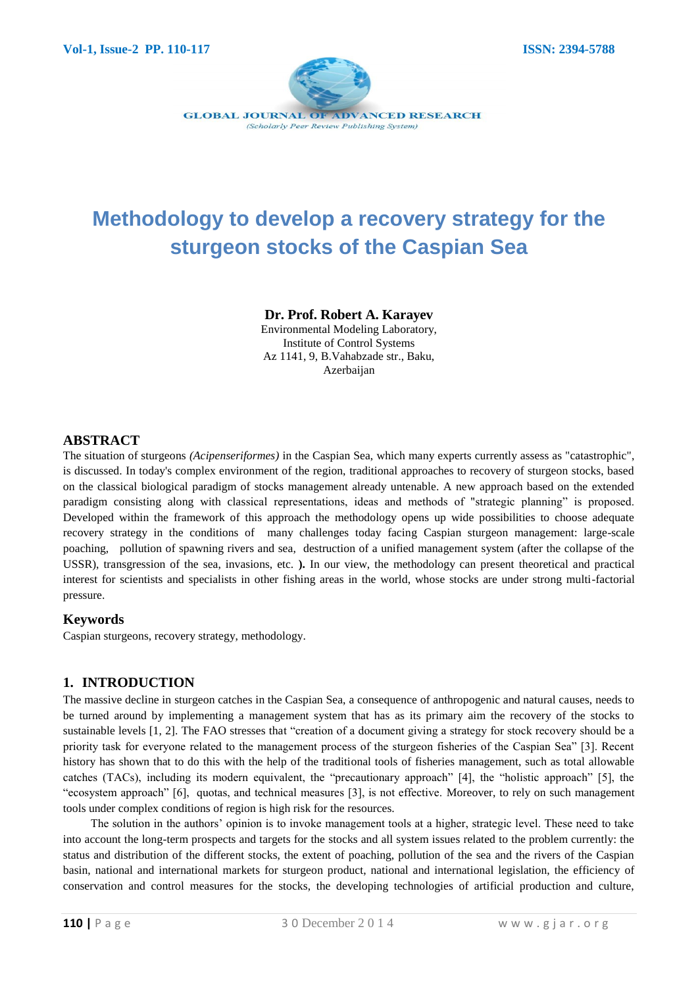

# **Methodology to develop a recovery strategy for the sturgeon stocks of the Caspian Sea**

## **Dr. Prof. Robert A. Karayev**

Environmental Modeling Laboratory, Institute of Control Systems Az 1141, 9, B.Vahabzade str., Baku, Azerbaijan

## **ABSTRACT**

The situation of sturgeons *(Acipenseriformes)* in the Caspian Sea, which many experts currently assess as "catastrophic", is discussed. In today's complex environment of the region, traditional approaches to recovery of sturgeon stocks, based on the classical biological paradigm of stocks management already untenable. A new approach based on the extended paradigm consisting along with classical representations, ideas and methods of "strategic planning" is proposed. Developed within the framework of this approach the methodology opens up wide possibilities to choose adequate recovery strategy in the conditions of many challenges today facing Caspian sturgeon management: large-scale poaching, pollution of spawning rivers and sea, destruction of a unified management system (after the collapse of the USSR), transgression of the sea, invasions, etc. **).** In our view, the methodology can present theoretical and practical interest for scientists and specialists in other fishing areas in the world, whose stocks are under strong multi-factorial pressure.

## **Keywords**

Caspian sturgeons, recovery strategy, methodology.

## **1. INTRODUCTION**

The massive decline in sturgeon catches in the Caspian Sea, a consequence of anthropogenic and natural causes, needs to be turned around by implementing a management system that has as its primary aim the recovery of the stocks to sustainable levels [1, 2]. The FAO stresses that "creation of a document giving a strategy for stock recovery should be a priority task for everyone related to the management process of the sturgeon fisheries of the Caspian Sea" [3]. Recent history has shown that to do this with the help of the traditional tools of fisheries management, such as total allowable catches (TACs), including its modern equivalent, the "precautionary approach" [4], the "holistic approach" [5], the "ecosystem approach" [6], quotas, and technical measures [3], is not effective. Moreover, to rely on such management tools under complex conditions of region is high risk for the resources.

The solution in the authors' opinion is to invoke management tools at a higher, strategic level. These need to take into account the long-term prospects and targets for the stocks and all system issues related to the problem currently: the status and distribution of the different stocks, the extent of poaching, pollution of the sea and the rivers of the Caspian basin, national and international markets for sturgeon product, national and international legislation, the efficiency of conservation and control measures for the stocks, the developing technologies of artificial production and culture,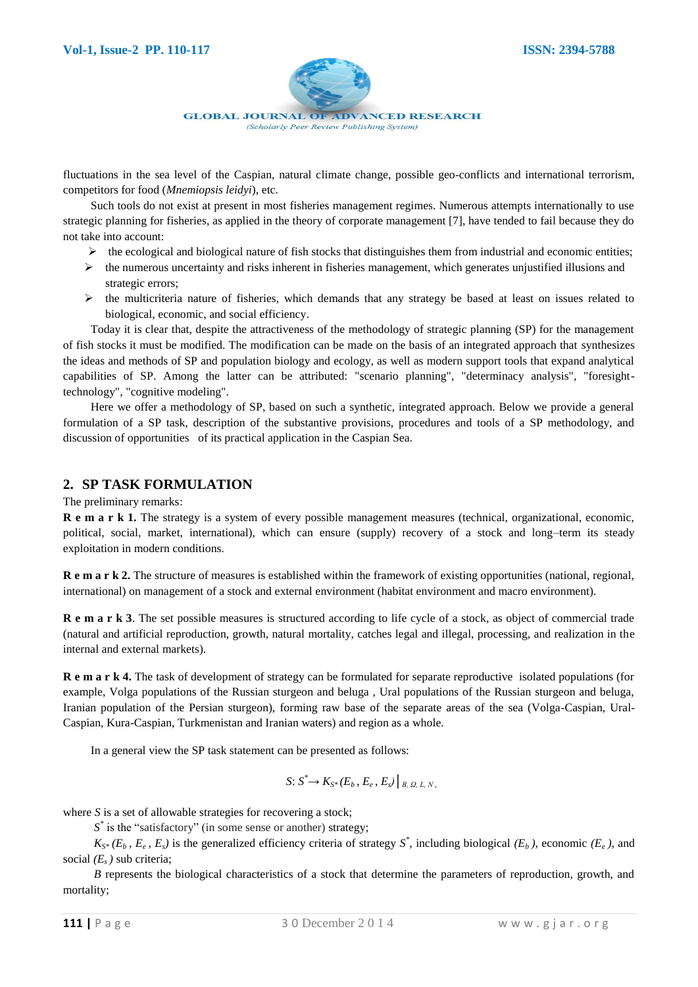

fluctuations in the sea level of the Caspian, natural climate change, possible geo-conflicts and international terrorism, competitors for food (*Mnemiopsis leidyi*), etc.

Such tools do not exist at present in most fisheries management regimes. Numerous attempts internationally to use strategic planning for fisheries, as applied in the theory of corporate management [7], have tended to fail because they do not take into account:

- $\triangleright$  the ecological and biological nature of fish stocks that distinguishes them from industrial and economic entities;
- $\triangleright$  the numerous uncertainty and risks inherent in fisheries management, which generates unjustified illusions and strategic errors;
- $\triangleright$  the multicriteria nature of fisheries, which demands that any strategy be based at least on issues related to biological, economic, and social efficiency.

Today it is clear that, despite the attractiveness of the methodology of strategic planning (SP) for the management of fish stocks it must be modified. The modification can be made on the basis of an integrated approach that synthesizes the ideas and methods of SP and population biology and ecology, as well as modern support tools that expand analytical capabilities of SP. Among the latter can be attributed: "scenario planning", "determinacy analysis", "foresighttechnology", "cognitive modeling".

Here we offer a methodology of SP, based on such a synthetic, integrated approach. Below we provide a general formulation of a SP task, description of the substantive provisions, procedures and tools of a SP methodology, and discussion of opportunities of its practical application in the Caspian Sea.

## **2. SP TASK FORMULATION**

The preliminary remarks:

**R e m a r k 1.** The strategy is a system of every possible management measures (technical, organizational, economic, political, social, market, international), which can ensure (supply) recovery of a stock and long–term its steady exploitation in modern conditions.

**R e m a r k 2.** The structure of measures is established within the framework of existing opportunities (national, regional, international) on management of a stock and external environment (habitat environment and macro environment).

**R e m a r k 3**. The set possible measures is structured according to life cycle of a stock, as object of commercial trade (natural and artificial reproduction, growth, natural mortality, catches legal and illegal, processing, and realization in the internal and external markets).

**R e m a r k 4.** The task of development of strategy can be formulated for separate reproductive isolated populations (for example, Volga populations of the Russian sturgeon and beluga , Ural populations of the Russian sturgeon and beluga, Iranian population of the Persian sturgeon), forming raw base of the separate areas of the sea (Volga-Caspian, Ural-Caspian, Kura-Caspian, Turkmenistan and Iranian waters) and region as a whole.

In a general view the SP task statement can be presented as follows:

$$
S: S^* \to K_{S^*}(E_b, E_e, E_s) |_{B, \Omega, L, N},
$$

where *S* is a set of allowable strategies for recovering a stock;

*S*<sup>\*</sup> is the "satisfactory" (in some sense or another) strategy;

 $K_{S^*}(E_b, E_e, E_s)$  is the generalized efficiency criteria of strategy  $S^*$ , including biological ( $E_b$ ), economic ( $E_e$ ), and social *(Es )* sub criteria;

*B* represents the biological characteristics of a stock that determine the parameters of reproduction, growth, and mortality;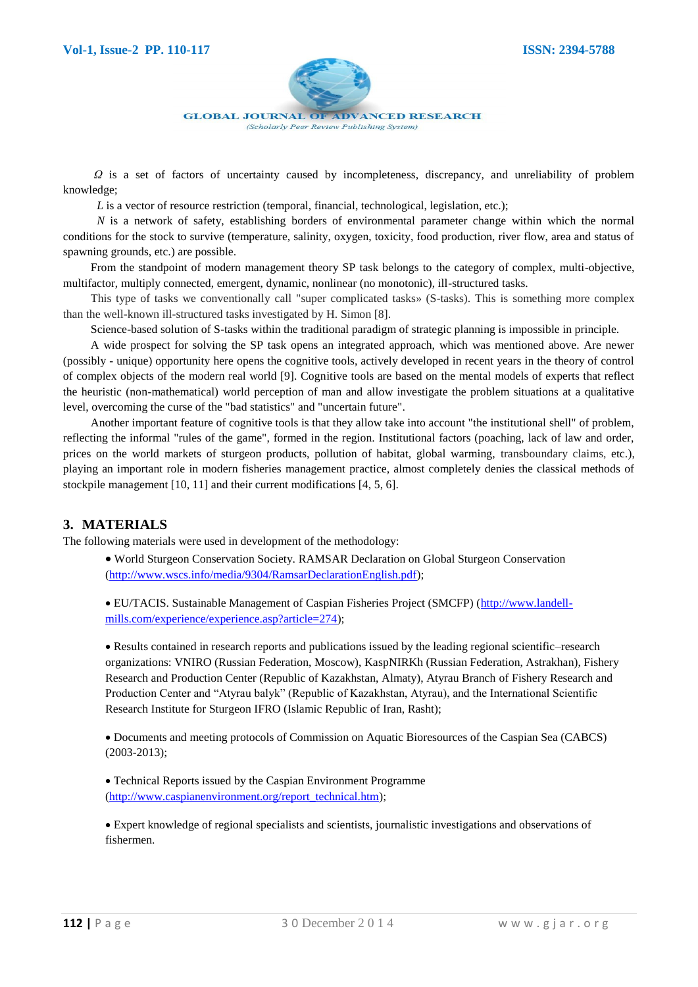

 *Ω* is a set of factors of uncertainty caused by incompleteness, discrepancy, and unreliability of problem knowledge;

*L* is a vector of resource restriction (temporal, financial, technological, legislation, etc.);

*N* is a network of safety, establishing borders of environmental parameter change within which the normal conditions for the stock to survive (temperature, salinity, oxygen, toxicity, food production, river flow, area and status of spawning grounds, etc.) are possible.

From the standpoint of modern management theory SP task belongs to the category of complex, multi-objective, multifactor, multiply connected, emergent, dynamic, nonlinear (no monotonic), ill-structured tasks.

This type of tasks we conventionally call "super complicated tasks» (S-tasks). This is something more complex than the well-known ill-structured tasks investigated by H. Simon [8].

Science-based solution of S-tasks within the traditional paradigm of strategic planning is impossible in principle.

A wide prospect for solving the SP task opens an integrated approach, which was mentioned above. Are newer (possibly - unique) opportunity here opens the cognitive tools, actively developed in recent years in the theory of control of complex objects of the modern real world [9]. Cognitive tools are based on the mental models of experts that reflect the heuristic (non-mathematical) world perception of man and allow investigate the problem situations at a qualitative level, overcoming the curse of the "bad statistics" and "uncertain future".

Another important feature of cognitive tools is that they allow take into account "the institutional shell" of problem, reflecting the informal "rules of the game", formed in the region. Institutional factors (poaching, lack of law and order, prices on the world markets of sturgeon products, pollution of habitat, global warming, transboundary claims, etc.), playing an important role in modern fisheries management practice, almost completely denies the classical methods of stockpile management [10, 11] and their current modifications [4, 5, 6].

## **3. MATERIALS**

The following materials were used in development of the methodology:

 World Sturgeon Conservation Society. RAMSAR Declaration on Global Sturgeon Conservation [\(http://www.wscs.info/media/9304/RamsarDeclarationEnglish.pdf\)](http://www.wscs.info/media/9304/RamsarDeclarationEnglish.pdf);

 EU/TACIS. Sustainable Management of Caspian Fisheries Project (SMCFP) [\(http://www.landell](http://www.landell-mills.com/experience/experience.asp?article=274)[mills.com/experience/experience.asp?article=274\)](http://www.landell-mills.com/experience/experience.asp?article=274);

 Results contained in research reports and publications issued by the leading regional scientific–research organizations: VNIRO (Russian Federation, Moscow), KaspNIRKh (Russian Federation, Astrakhan), Fishery Research and Production Center (Republic of Kazakhstan, Almaty), Atyrau Branch of Fishery Research and Production Center and "Atyrau balyk" (Republic of Kazakhstan, Atyrau), and the International Scientific Research Institute for Sturgeon IFRO (Islamic Republic of Iran, Rasht);

 Documents and meeting protocols of Commission on Aquatic Bioresources of the Caspian Sea (CABCS) (2003-2013);

 Technical Reports issued by the Caspian Environment Programme [\(http://www.caspianenvironment.org/report\\_technical.htm\)](http://www.caspianenvironment.org/report_technical.htm);

 Expert knowledge of regional specialists and scientists, journalistic investigations and observations of fishermen.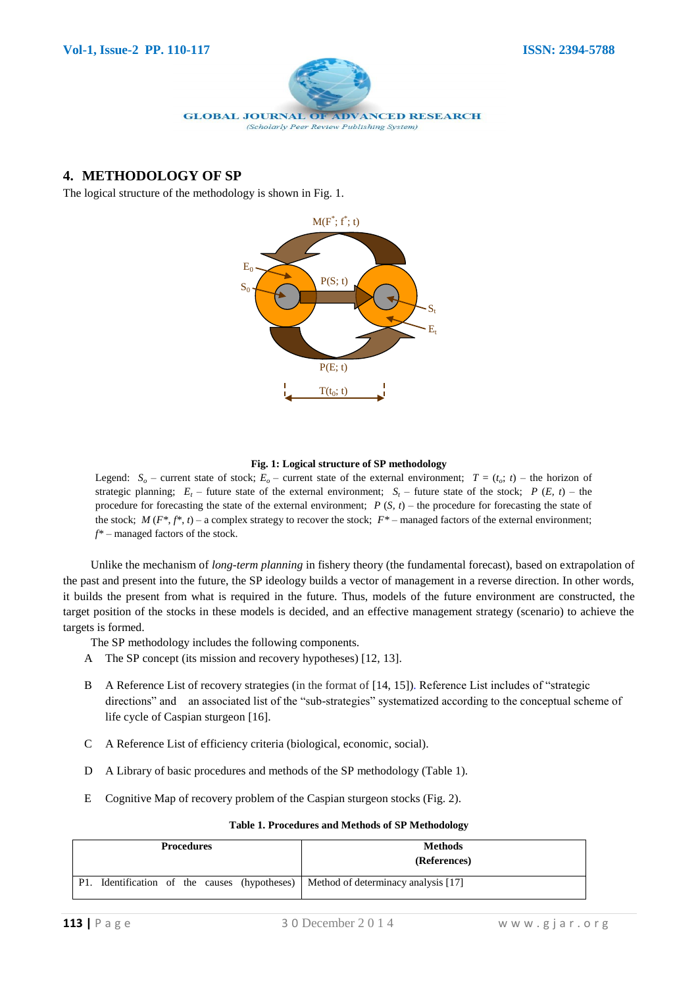

# **4. METHODOLOGY OF SP**

The logical structure of the methodology is shown in Fig. 1.



#### **Fig. 1: Logical structure of SP methodology**

Legend:  $S$ <sup>*o*</sup> – current state of stock;  $E$ <sup>*o*</sup> – current state of the external environment;  $T = (t_o; t)$  – the horizon of strategic planning;  $E_t$  – future state of the external environment;  $S_t$  – future state of the stock;  $P(E, t)$  – the procedure for forecasting the state of the external environment;  $P(S, t)$  – the procedure for forecasting the state of the stock;  $M(F^*, f^*, t)$  – a complex strategy to recover the stock;  $F^*$  – managed factors of the external environment; *f\** – managed factors of the stock.

Unlike the mechanism of *long-term planning* in fishery theory (the fundamental forecast), based on extrapolation of the past and present into the future, the SP ideology builds a vector of management in a reverse direction. In other words, it builds the present from what is required in the future. Thus, models of the future environment are constructed, the target position of the stocks in these models is decided, and an effective management strategy (scenario) to achieve the targets is formed.

The SP methodology includes the following components.

- A The SP concept (its mission and recovery hypotheses) [12, 13].
- B A Reference List of recovery strategies (in the format of [14, 15]). Reference List includes of "strategic directions" and an associated list of the "sub-strategies" systematized according to the conceptual scheme of life cycle of Caspian sturgeon [16].
- C A Reference List of efficiency criteria (biological, economic, social).
- D A Library of basic procedures and methods of the SP methodology (Table 1).
- E Cognitive Map of recovery problem of the Caspian sturgeon stocks (Fig. 2).

| <b>Procedures</b>                                                                 | <b>Methods</b><br>(References) |
|-----------------------------------------------------------------------------------|--------------------------------|
| P1. Identification of the causes (hypotheses) Method of determinacy analysis [17] |                                |

#### **Table 1. Procedures and Methods of SP Methodology**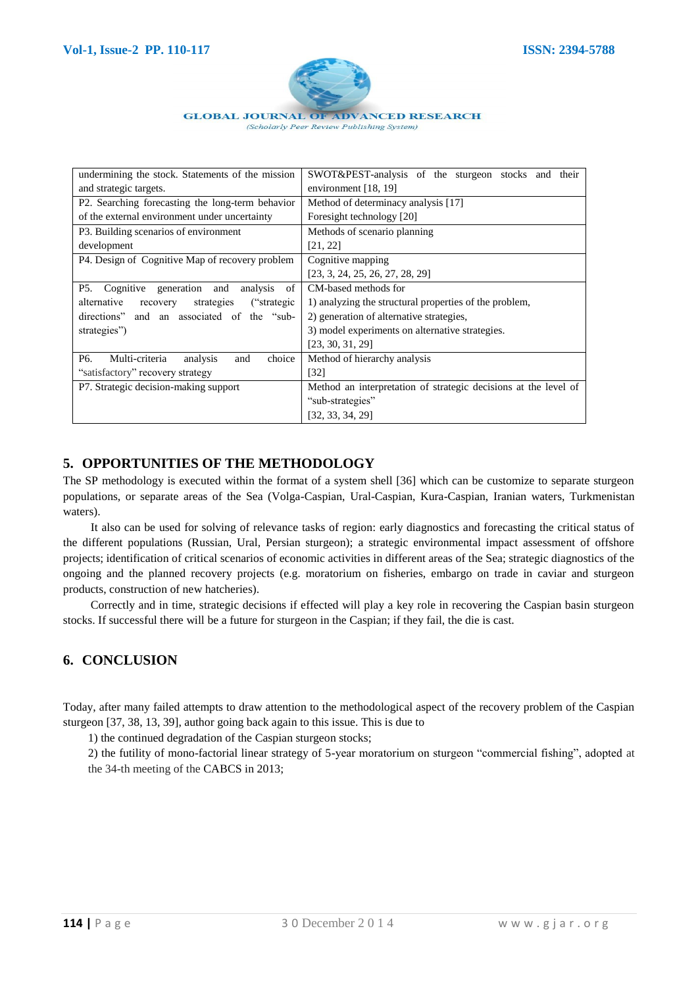

| undermining the stock. Statements of the mission              | SWOT&PEST-analysis of the sturgeon stocks and their             |
|---------------------------------------------------------------|-----------------------------------------------------------------|
| and strategic targets.                                        | environment $[18, 19]$                                          |
| P2. Searching forecasting the long-term behavior              | Method of determinacy analysis [17]                             |
| of the external environment under uncertainty                 | Foresight technology [20]                                       |
| P3. Building scenarios of environment                         | Methods of scenario planning                                    |
| development                                                   | [21, 22]                                                        |
| P4. Design of Cognitive Map of recovery problem               | Cognitive mapping                                               |
|                                                               | [23, 3, 24, 25, 26, 27, 28, 29]                                 |
| Cognitive<br>generation and<br>of<br>P5.<br>analysis          | CM-based methods for                                            |
| alternative<br>strategies<br>("strategic<br>recovery          | 1) analyzing the structural properties of the problem,          |
| directions" and an associated of the "sub-                    | 2) generation of alternative strategies,                        |
| strategies")                                                  | 3) model experiments on alternative strategies.                 |
|                                                               | [23, 30, 31, 29]                                                |
| Multi-criteria<br>choice<br>P <sub>6</sub><br>analysis<br>and | Method of hierarchy analysis                                    |
| "satisfactory" recovery strategy                              | $\lceil 32 \rceil$                                              |
| P7. Strategic decision-making support                         | Method an interpretation of strategic decisions at the level of |
|                                                               | "sub-strategies"                                                |
|                                                               | [32, 33, 34, 29]                                                |

# **5. OPPORTUNITIES OF THE METHODOLOGY**

The SP methodology is executed within the format of a system shell [36] which can be customize to separate sturgeon populations, or separate areas of the Sea (Volga-Caspian, Ural-Caspian, Kura-Caspian, Iranian waters, Turkmenistan waters).

It also can be used for solving of relevance tasks of region: early diagnostics and forecasting the critical status of the different populations (Russian, Ural, Persian sturgeon); a strategic environmental impact assessment of offshore projects; identification of critical scenarios of economic activities in different areas of the Sea; strategic diagnostics of the ongoing and the planned recovery projects (e.g. moratorium on fisheries, embargo on trade in caviar and sturgeon products, construction of new hatcheries).

Correctly and in time, strategic decisions if effected will play a key role in recovering the Caspian basin sturgeon stocks. If successful there will be a future for sturgeon in the Caspian; if they fail, the die is cast.

# **6. CONCLUSION**

Today, after many failed attempts to draw attention to the methodological aspect of the recovery problem of the Caspian sturgeon [37, 38, 13, 39], author going back again to this issue. This is due to

1) the continued degradation of the Caspian sturgeon stocks;

2) the futility of mono-factorial linear strategy of 5-year moratorium on sturgeon "commercial fishing", adopted at the 34-th meeting of the CABCS in 2013;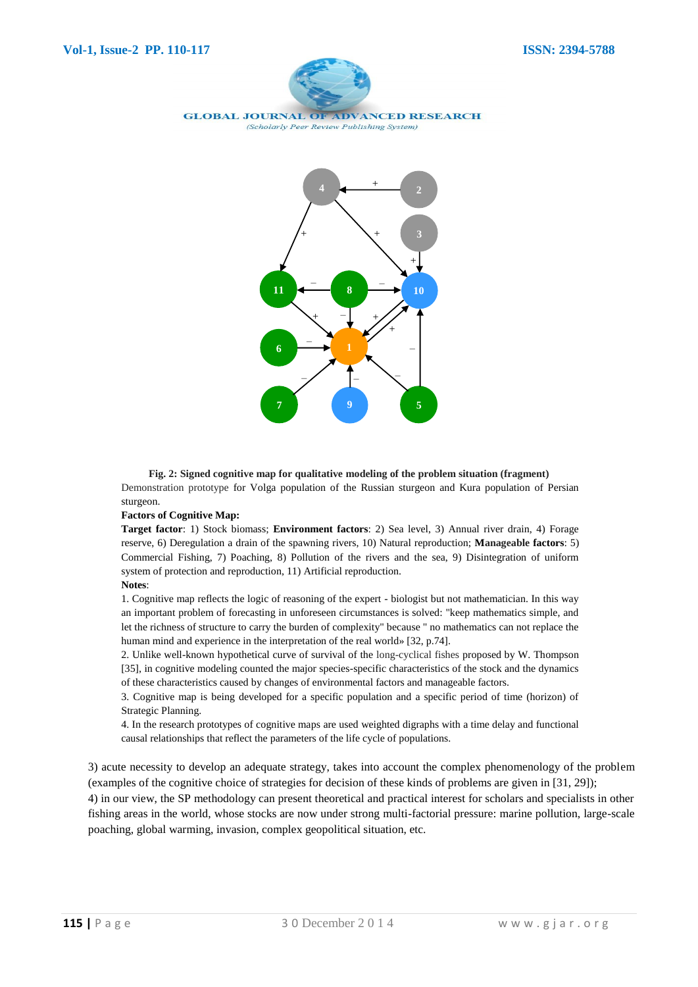



**Fig. 2: Signed cognitive map for qualitative modeling of the problem situation (fragment)**  Demonstration prototype for Volga population of the Russian sturgeon and Kura population of Persian sturgeon.

#### **Factors of Cognitive Map:**

**Target factor**: 1) Stock biomass; **Environment factors**: 2) Sea level, 3) Annual river drain, 4) Forage reserve, 6) Deregulation a drain of the spawning rivers, 10) Natural reproduction; **Manageable factors**: 5) Commercial Fishing, 7) Poaching, 8) Pollution of the rivers and the sea, 9) Disintegration of uniform system of protection and reproduction, 11) Artificial reproduction.

#### **Notes**:

1. Cognitive map reflects the logic of reasoning of the expert - biologist but not mathematician. In this way an important problem of forecasting in unforeseen circumstances is solved: "keep mathematics simple, and let the richness of structure to carry the burden of complexity" because " no mathematics can not replace the human mind and experience in the interpretation of the real world» [32, p.74].

2. Unlike well-known hypothetical curve of survival of the long-cyclical fishes proposed by W. Thompson [35], in cognitive modeling counted the major species-specific characteristics of the stock and the dynamics of these characteristics caused by changes of environmental factors and manageable factors.

3. Cognitive map is being developed for a specific population and a specific period of time (horizon) of Strategic Planning.

4. In the research prototypes of cognitive maps are used weighted digraphs with a time delay and functional causal relationships that reflect the parameters of the life cycle of populations.

3) acute necessity to develop an adequate strategy, takes into account the complex phenomenology of the problem (examples of the cognitive choice of strategies for decision of these kinds of problems are given in [31, 29]);

4) in our view, the SP methodology can present theoretical and practical interest for scholars and specialists in other fishing areas in the world, whose stocks are now under strong multi-factorial pressure: marine pollution, large-scale poaching, global warming, invasion, complex geopolitical situation, etc.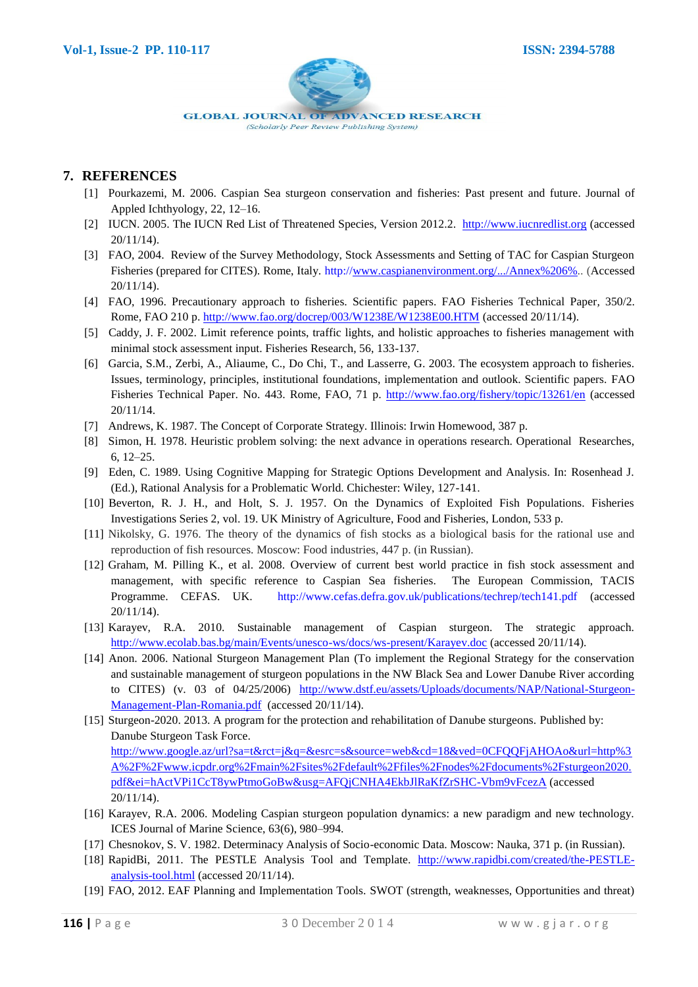

## **7. REFERENCES**

- [1] Pourkazemi, M. 2006. Caspian Sea sturgeon conservation and fisheries: Past present and future. Journal of Appled Ichthyology, 22, 12–16.
- [2] IUCN. 2005. The IUCN Red List of Threatened Species, Version 2012.2. [http://www.iucnredlist.org](http://www.iucnredlist.org/) (accessed 20/11/14).
- [3] FAO, 2004. Review of the Survey Methodology, Stock Assessments and Setting of TAC for Caspian Sturgeon Fisheries (prepared for CITES). Rome, Italy. http:/[/www.caspianenvironment.org/.../Annex%206%](http://www.caspianenvironment.org/.../Annex%206%25)*..* (Accessed 20/11/14).
- [4] FAO, 1996. Precautionary approach to fisheries. Scientific papers. FAO Fisheries Technical Paper*,* 350/2. Rome, FAO 210 p.<http://www.fao.org/docrep/003/W1238E/W1238E00.HTM> (accessed 20/11/14).
- [5] Caddy, J. F. 2002. Limit reference points, traffic lights, and holistic approaches to fisheries management with minimal stock assessment input. Fisheries Research, 56, 133-137.
- [6] Garcia, S.M., Zerbi, A., Aliaume, C., Do Chi, T., and Lasserre, G. 2003. The ecosystem approach to fisheries. Issues, terminology, principles, institutional foundations, implementation and outlook. Scientific papers. FAO Fisheries Technical Paper. No. 443. Rome, FAO, 71 p.<http://www.fao.org/fishery/topic/13261/en> (accessed 20/11/14.
- [7] Andrews, K. 1987. The Concept of Corporate Strategy. Illinois: Irwin Homewood, 387 p.
- [8] Simon, H*.* 1978. Heuristic problem solving: the next advance in operations research. Operational Researches, 6, 12–25.
- [9] Eden, C. 1989. Using Cognitive Mapping for Strategic Options Development and Analysis. In: Rosenhead J. (Ed.), Rational Analysis for a Problematic World. Chichester: Wiley, 127-141.
- [10] Beverton, R. J. H., and Holt, S. J. 1957. On the Dynamics of Exploited Fish Populations. Fisheries Investigations Series 2, vol. 19. UK Ministry of Agriculture, Food and Fisheries, London, 533 p.
- [11] Nikolsky, G. 1976. The theory of the dynamics of fish stocks as a biological basis for the rational use and reproduction of fish resources. Moscow: Food industries, 447 p. (in Russian).
- [12] Graham, M. Pilling K., et al. 2008. Overview of current best world practice in fish stock assessment and management, with specific reference to Caspian Sea fisheries. The European Commission, TACIS Programme. CEFAS. UK. http://www.cefas.defra.gov.uk/publications/techrep/tech141.pdf (accessed 20/11/14).
- [13] Karayev, R.A. 2010. Sustainable management of Caspian sturgeon. The strategic approach. <http://www.ecolab.bas.bg/main/Events/unesco-ws/docs/ws-present/Karayev.doc> (accessed 20/11/14).
- [14] Anon. 2006. National Sturgeon Management Plan (To implement the Regional Strategy for the conservation and sustainable management of sturgeon populations in the NW Black Sea and Lower Danube River according to CITES) (v. 03 of 04/25/2006) [http://www.dstf.eu/assets/Uploads/documents/NAP/National-Sturgeon-](http://www.dstf.eu/assets/Uploads/documents/NAP/National-Sturgeon-Management-Plan-Romania.pdf)[Management-Plan-Romania.pdf](http://www.dstf.eu/assets/Uploads/documents/NAP/National-Sturgeon-Management-Plan-Romania.pdf) (accessed 20/11/14).
- [15] Sturgeon-2020. 2013. A program for the protection and rehabilitation of Danube sturgeons. Published by: Danube Sturgeon Task Force. [http://www.google.az/url?sa=t&rct=j&q=&esrc=s&source=web&cd=18&ved=0CFQQFjAHOAo&url=http%3](http://www.google.az/url?sa=t&rct=j&q=&esrc=s&source=web&cd=18&ved=0CFQQFjAHOAo&url=http%3A%2F%2Fwww.icpdr.org%2Fmain%2Fsites%2Fdefault%2Ffiles%2Fnodes%2Fdocuments%2Fsturgeon2020.pdf&ei=hActVPi1CcT8ywPtmoGoBw&usg=AFQjCNHA4EkbJlRaKfZrSHC-Vbm9vFcezA) [A%2F%2Fwww.icpdr.org%2Fmain%2Fsites%2Fdefault%2Ffiles%2Fnodes%2Fdocuments%2Fsturgeon2020.](http://www.google.az/url?sa=t&rct=j&q=&esrc=s&source=web&cd=18&ved=0CFQQFjAHOAo&url=http%3A%2F%2Fwww.icpdr.org%2Fmain%2Fsites%2Fdefault%2Ffiles%2Fnodes%2Fdocuments%2Fsturgeon2020.pdf&ei=hActVPi1CcT8ywPtmoGoBw&usg=AFQjCNHA4EkbJlRaKfZrSHC-Vbm9vFcezA) [pdf&ei=hActVPi1CcT8ywPtmoGoBw&usg=AFQjCNHA4EkbJlRaKfZrSHC-Vbm9vFcezA](http://www.google.az/url?sa=t&rct=j&q=&esrc=s&source=web&cd=18&ved=0CFQQFjAHOAo&url=http%3A%2F%2Fwww.icpdr.org%2Fmain%2Fsites%2Fdefault%2Ffiles%2Fnodes%2Fdocuments%2Fsturgeon2020.pdf&ei=hActVPi1CcT8ywPtmoGoBw&usg=AFQjCNHA4EkbJlRaKfZrSHC-Vbm9vFcezA) (accessed 20/11/14).
- [16] Karayev, R.A. 2006. Modeling Caspian sturgeon population dynamics: a new paradigm and new technology. ICES Journal of Marine Science, 63(6), 980–994.
- [17] Chesnokov, S. V. 1982. Determinacy Analysis of Socio-economic Data. Moscow: Nauka, 371 p. (in Russian).
- [18] RapidBi, 2011. The PESTLE Analysis Tool and Template. [http://www.rapidbi.com/created/the-PESTLE](http://www.rapidbi.com/created/the-PESTLE-analysis-tool.html)[analysis-tool.html](http://www.rapidbi.com/created/the-PESTLE-analysis-tool.html) (accessed 20/11/14).
- [19] FAO, 2012. EAF Planning and Implementation Tools. SWOT (strength, weaknesses, Opportunities and threat)